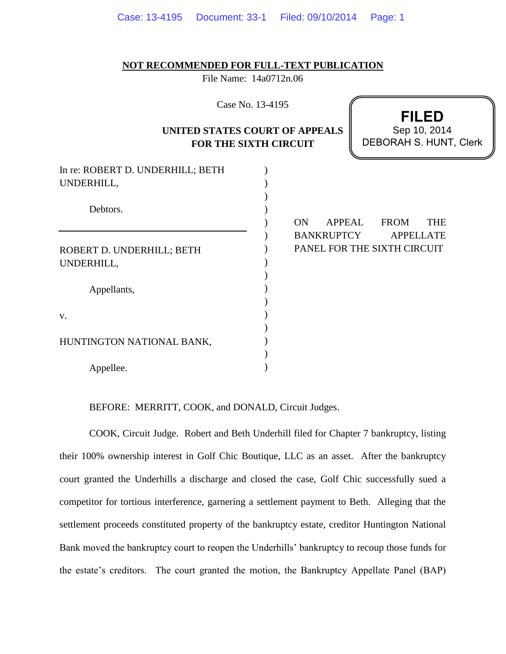|  |  | Case: 13-4195  Document: 33-1  Filed: 09/10/2014  Page: 1 |  |
|--|--|-----------------------------------------------------------|--|
|--|--|-----------------------------------------------------------|--|

## **NOT RECOMMENDED FOR FULL-TEXT PUBLICATION**

File Name: 14a0712n.06

Case No. 13-4195

## **UNITED STATES COURT OF APPEALS FOR THE SIXTH CIRCUIT**

**FILED** DEBORAH S. HUNT, Clerk Sep 10, 2014

| In re: ROBERT D. UNDERHILL; BETH<br>UNDERHILL, |  |
|------------------------------------------------|--|
| Debtors.                                       |  |
| ROBERT D. UNDERHILL; BETH<br>UNDERHILL,        |  |
| Appellants,                                    |  |
| V.                                             |  |
| HUNTINGTON NATIONAL BANK,                      |  |
| Appellee.                                      |  |

ON APPEAL FROM THE BANKRUPTCY APPELLATE PANEL FOR THE SIXTH CIRCUIT

BEFORE: MERRITT, COOK, and DONALD, Circuit Judges.

COOK, Circuit Judge. Robert and Beth Underhill filed for Chapter 7 bankruptcy, listing their 100% ownership interest in Golf Chic Boutique, LLC as an asset. After the bankruptcy court granted the Underhills a discharge and closed the case, Golf Chic successfully sued a competitor for tortious interference, garnering a settlement payment to Beth. Alleging that the settlement proceeds constituted property of the bankruptcy estate, creditor Huntington National Bank moved the bankruptcy court to reopen the Underhills' bankruptcy to recoup those funds for the estate's creditors. The court granted the motion, the Bankruptcy Appellate Panel (BAP)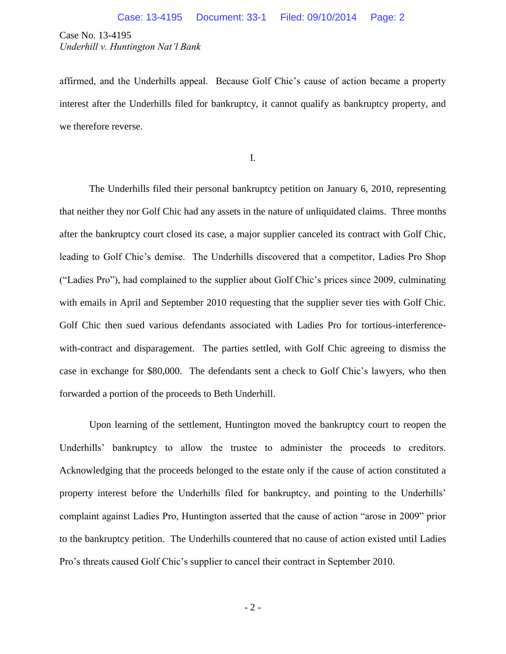affirmed, and the Underhills appeal. Because Golf Chic's cause of action became a property interest after the Underhills filed for bankruptcy, it cannot qualify as bankruptcy property, and we therefore reverse.

I.

The Underhills filed their personal bankruptcy petition on January 6, 2010, representing that neither they nor Golf Chic had any assets in the nature of unliquidated claims. Three months after the bankruptcy court closed its case, a major supplier canceled its contract with Golf Chic, leading to Golf Chic's demise. The Underhills discovered that a competitor, Ladies Pro Shop ("Ladies Pro"), had complained to the supplier about Golf Chic's prices since 2009, culminating with emails in April and September 2010 requesting that the supplier sever ties with Golf Chic. Golf Chic then sued various defendants associated with Ladies Pro for tortious-interferencewith-contract and disparagement. The parties settled, with Golf Chic agreeing to dismiss the case in exchange for \$80,000. The defendants sent a check to Golf Chic's lawyers, who then forwarded a portion of the proceeds to Beth Underhill.

Upon learning of the settlement, Huntington moved the bankruptcy court to reopen the Underhills' bankruptcy to allow the trustee to administer the proceeds to creditors. Acknowledging that the proceeds belonged to the estate only if the cause of action constituted a property interest before the Underhills filed for bankruptcy, and pointing to the Underhills' complaint against Ladies Pro, Huntington asserted that the cause of action "arose in 2009" prior to the bankruptcy petition. The Underhills countered that no cause of action existed until Ladies Pro's threats caused Golf Chic's supplier to cancel their contract in September 2010.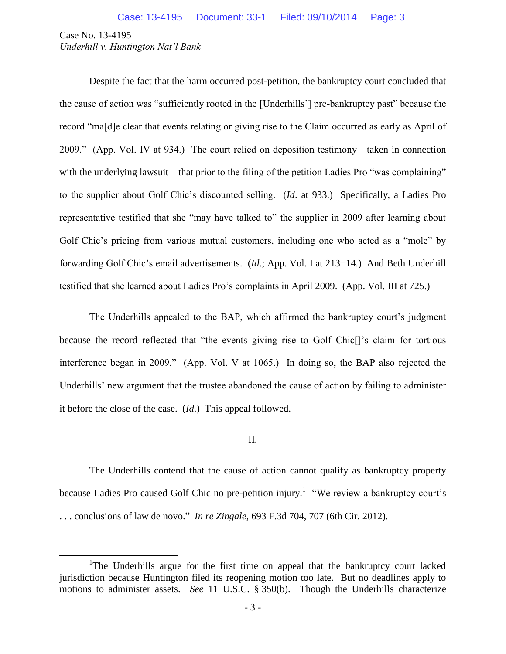$\overline{a}$ 

Despite the fact that the harm occurred post-petition, the bankruptcy court concluded that the cause of action was "sufficiently rooted in the [Underhills'] pre-bankruptcy past" because the record "ma[d]e clear that events relating or giving rise to the Claim occurred as early as April of 2009." (App. Vol. IV at 934.) The court relied on deposition testimony—taken in connection with the underlying lawsuit—that prior to the filing of the petition Ladies Pro "was complaining" to the supplier about Golf Chic's discounted selling. (*Id*. at 933.) Specifically, a Ladies Pro representative testified that she "may have talked to" the supplier in 2009 after learning about Golf Chic's pricing from various mutual customers, including one who acted as a "mole" by forwarding Golf Chic's email advertisements. (*Id*.; App. Vol. I at 213−14.) And Beth Underhill testified that she learned about Ladies Pro's complaints in April 2009. (App. Vol. III at 725.)

The Underhills appealed to the BAP, which affirmed the bankruptcy court's judgment because the record reflected that "the events giving rise to Golf Chic[]'s claim for tortious interference began in 2009." (App. Vol. V at 1065.) In doing so, the BAP also rejected the Underhills' new argument that the trustee abandoned the cause of action by failing to administer it before the close of the case. (*Id*.) This appeal followed.

## II.

The Underhills contend that the cause of action cannot qualify as bankruptcy property because Ladies Pro caused Golf Chic no pre-petition injury.<sup>1</sup> "We review a bankruptcy court's . . . conclusions of law de novo." *In re Zingale*, 693 F.3d 704, 707 (6th Cir. 2012).

<sup>&</sup>lt;sup>1</sup>The Underhills argue for the first time on appeal that the bankruptcy court lacked jurisdiction because Huntington filed its reopening motion too late. But no deadlines apply to motions to administer assets. *See* 11 U.S.C. § 350(b). Though the Underhills characterize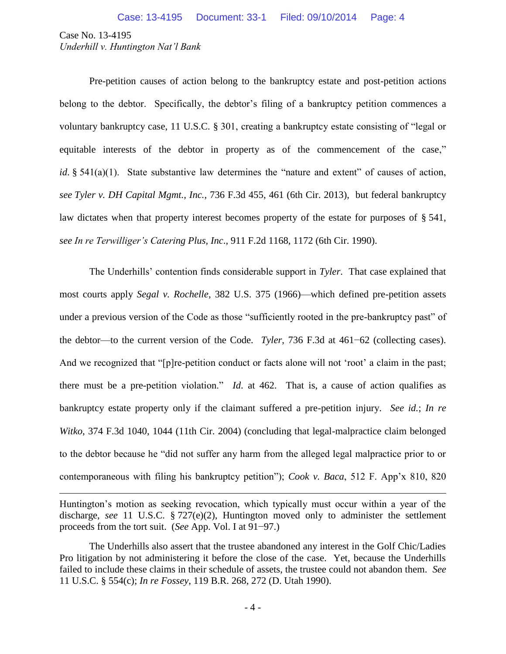$\overline{a}$ 

Pre-petition causes of action belong to the bankruptcy estate and post-petition actions belong to the debtor. Specifically, the debtor's filing of a bankruptcy petition commences a voluntary bankruptcy case, 11 U.S.C. § 301, creating a bankruptcy estate consisting of "legal or equitable interests of the debtor in property as of the commencement of the case," *id*. § 541(a)(1). State substantive law determines the "nature and extent" of causes of action, *see Tyler v. DH Capital Mgmt., Inc.*, 736 F.3d 455, 461 (6th Cir. 2013), but federal bankruptcy law dictates when that property interest becomes property of the estate for purposes of § 541, *see In re Terwilliger's Catering Plus, Inc*., 911 F.2d 1168, 1172 (6th Cir. 1990).

The Underhills' contention finds considerable support in *Tyler*. That case explained that most courts apply *Segal v. Rochelle*, 382 U.S. 375 (1966)—which defined pre-petition assets under a previous version of the Code as those "sufficiently rooted in the pre-bankruptcy past" of the debtor—to the current version of the Code. *Tyler*, 736 F.3d at 461−62 (collecting cases). And we recognized that "[p]re-petition conduct or facts alone will not 'root' a claim in the past; there must be a pre-petition violation." *Id*. at 462. That is, a cause of action qualifies as bankruptcy estate property only if the claimant suffered a pre-petition injury. *See id.*; *In re Witko*, 374 F.3d 1040, 1044 (11th Cir. 2004) (concluding that legal-malpractice claim belonged to the debtor because he "did not suffer any harm from the alleged legal malpractice prior to or contemporaneous with filing his bankruptcy petition"); *Cook v. Baca*, 512 F. App'x 810, 820

Huntington's motion as seeking revocation, which typically must occur within a year of the discharge, *see* 11 U.S.C. § 727(e)(2), Huntington moved only to administer the settlement proceeds from the tort suit. (*See* App. Vol. I at 91−97.)

The Underhills also assert that the trustee abandoned any interest in the Golf Chic/Ladies Pro litigation by not administering it before the close of the case. Yet, because the Underhills failed to include these claims in their schedule of assets, the trustee could not abandon them. *See*  11 U.S.C. § 554(c); *In re Fossey*, 119 B.R. 268, 272 (D. Utah 1990).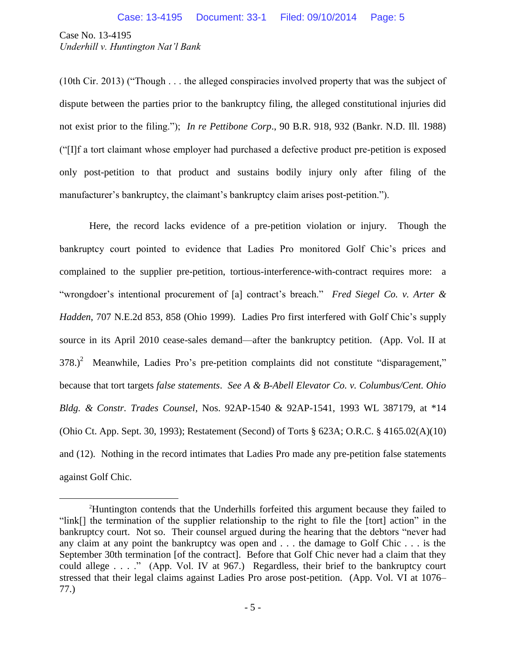$\overline{a}$ 

(10th Cir. 2013) ("Though . . . the alleged conspiracies involved property that was the subject of dispute between the parties prior to the bankruptcy filing, the alleged constitutional injuries did not exist prior to the filing."); *In re Pettibone Corp*., 90 B.R. 918, 932 (Bankr. N.D. Ill. 1988) ("[I]f a tort claimant whose employer had purchased a defective product pre-petition is exposed only post-petition to that product and sustains bodily injury only after filing of the manufacturer's bankruptcy, the claimant's bankruptcy claim arises post-petition.").

Here, the record lacks evidence of a pre-petition violation or injury. Though the bankruptcy court pointed to evidence that Ladies Pro monitored Golf Chic's prices and complained to the supplier pre-petition, tortious-interference-with-contract requires more: a "wrongdoer's intentional procurement of [a] contract's breach." *Fred Siegel Co. v. Arter & Hadden*, 707 N.E.2d 853, 858 (Ohio 1999). Ladies Pro first interfered with Golf Chic's supply source in its April 2010 cease-sales demand—after the bankruptcy petition. (App. Vol. II at  $378$ .)<sup>2</sup> Meanwhile, Ladies Pro's pre-petition complaints did not constitute "disparagement," because that tort targets *false statements*. *See A & B-Abell Elevator Co. v. Columbus/Cent. Ohio Bldg. & Constr. Trades Counsel*, Nos. 92AP-1540 & 92AP-1541, 1993 WL 387179, at \*14 (Ohio Ct. App. Sept. 30, 1993); Restatement (Second) of Torts § 623A; O.R.C. § 4165.02(A)(10) and (12). Nothing in the record intimates that Ladies Pro made any pre-petition false statements against Golf Chic.

<sup>2</sup>Huntington contends that the Underhills forfeited this argument because they failed to "link[] the termination of the supplier relationship to the right to file the [tort] action" in the bankruptcy court. Not so. Their counsel argued during the hearing that the debtors "never had any claim at any point the bankruptcy was open and . . . the damage to Golf Chic . . . is the September 30th termination [of the contract]. Before that Golf Chic never had a claim that they could allege . . . ." (App. Vol. IV at 967.) Regardless, their brief to the bankruptcy court stressed that their legal claims against Ladies Pro arose post-petition. (App. Vol. VI at 1076– 77.)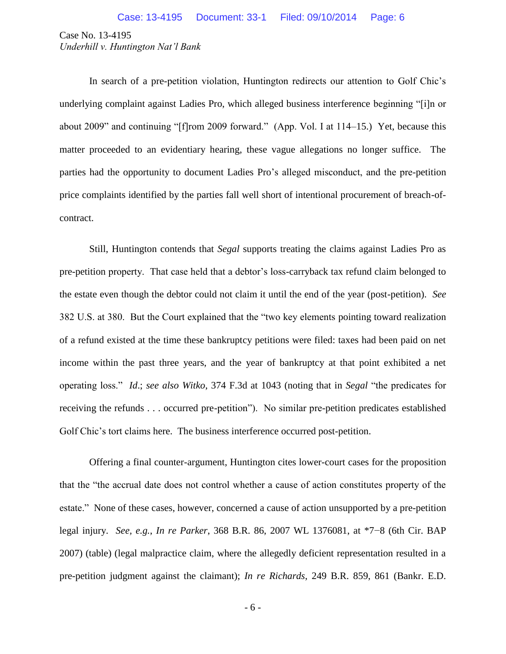In search of a pre-petition violation, Huntington redirects our attention to Golf Chic's underlying complaint against Ladies Pro, which alleged business interference beginning "[i]n or about 2009" and continuing "[f]rom 2009 forward." (App. Vol. I at 114–15.) Yet, because this matter proceeded to an evidentiary hearing, these vague allegations no longer suffice. The parties had the opportunity to document Ladies Pro's alleged misconduct, and the pre-petition price complaints identified by the parties fall well short of intentional procurement of breach-ofcontract.

Still, Huntington contends that *Segal* supports treating the claims against Ladies Pro as pre-petition property. That case held that a debtor's loss-carryback tax refund claim belonged to the estate even though the debtor could not claim it until the end of the year (post-petition). *See* 382 U.S. at 380. But the Court explained that the "two key elements pointing toward realization of a refund existed at the time these bankruptcy petitions were filed: taxes had been paid on net income within the past three years, and the year of bankruptcy at that point exhibited a net operating loss." *Id*.; *see also Witko*, 374 F.3d at 1043 (noting that in *Segal* "the predicates for receiving the refunds . . . occurred pre-petition"). No similar pre-petition predicates established Golf Chic's tort claims here. The business interference occurred post-petition.

Offering a final counter-argument, Huntington cites lower-court cases for the proposition that the "the accrual date does not control whether a cause of action constitutes property of the estate." None of these cases, however, concerned a cause of action unsupported by a pre-petition legal injury. *See, e.g.*, *In re Parker*, 368 B.R. 86, 2007 WL 1376081, at \*7−8 (6th Cir. BAP 2007) (table) (legal malpractice claim, where the allegedly deficient representation resulted in a pre-petition judgment against the claimant); *In re Richards*, 249 B.R. 859, 861 (Bankr. E.D.

- 6 -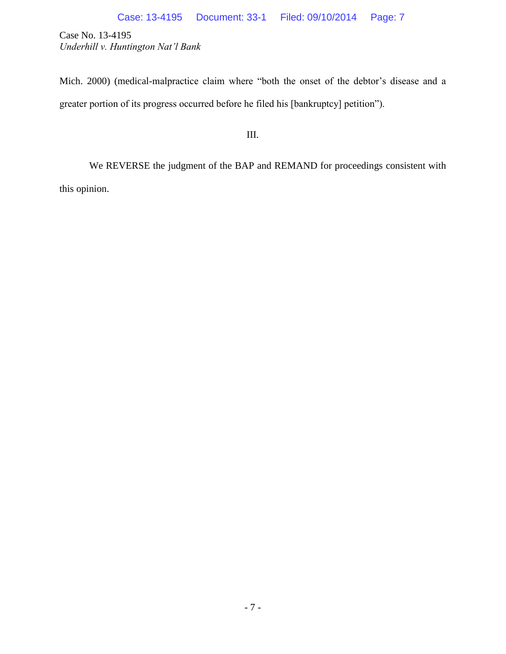Mich. 2000) (medical-malpractice claim where "both the onset of the debtor's disease and a greater portion of its progress occurred before he filed his [bankruptcy] petition").

III.

We REVERSE the judgment of the BAP and REMAND for proceedings consistent with this opinion.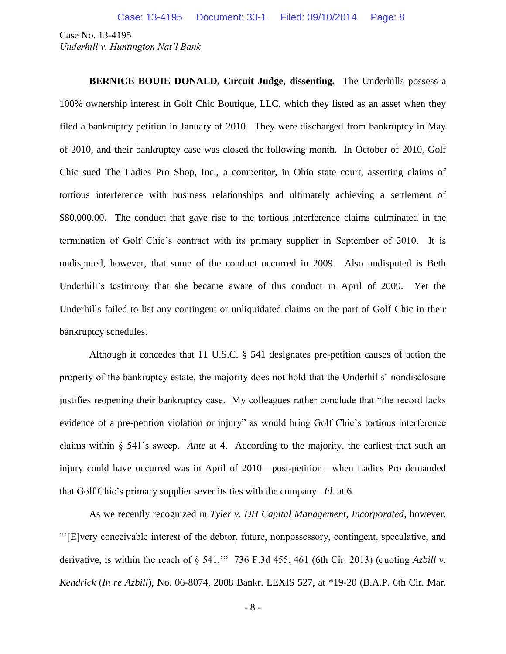**BERNICE BOUIE DONALD, Circuit Judge, dissenting.** The Underhills possess a 100% ownership interest in Golf Chic Boutique, LLC, which they listed as an asset when they filed a bankruptcy petition in January of 2010. They were discharged from bankruptcy in May of 2010, and their bankruptcy case was closed the following month. In October of 2010, Golf Chic sued The Ladies Pro Shop, Inc., a competitor, in Ohio state court, asserting claims of tortious interference with business relationships and ultimately achieving a settlement of \$80,000.00. The conduct that gave rise to the tortious interference claims culminated in the termination of Golf Chic's contract with its primary supplier in September of 2010. It is undisputed, however, that some of the conduct occurred in 2009. Also undisputed is Beth Underhill's testimony that she became aware of this conduct in April of 2009. Yet the Underhills failed to list any contingent or unliquidated claims on the part of Golf Chic in their bankruptcy schedules.

Although it concedes that 11 U.S.C. § 541 designates pre-petition causes of action the property of the bankruptcy estate, the majority does not hold that the Underhills' nondisclosure justifies reopening their bankruptcy case. My colleagues rather conclude that "the record lacks evidence of a pre-petition violation or injury" as would bring Golf Chic's tortious interference claims within § 541's sweep. *Ante* at 4. According to the majority, the earliest that such an injury could have occurred was in April of 2010—post-petition—when Ladies Pro demanded that Golf Chic's primary supplier sever its ties with the company. *Id.* at 6.

As we recently recognized in *Tyler v. DH Capital Management, Incorporated*, however, "'[E]very conceivable interest of the debtor, future, nonpossessory, contingent, speculative, and derivative, is within the reach of § 541.'" 736 F.3d 455, 461 (6th Cir. 2013) (quoting *Azbill v. Kendrick* (*In re Azbill*), No. 06-8074, 2008 Bankr. LEXIS 527, at \*19-20 (B.A.P. 6th Cir. Mar.

- 8 -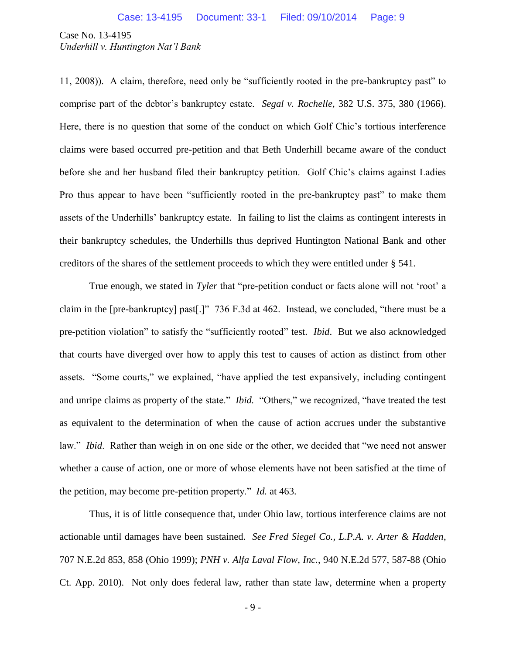11, 2008)). A claim, therefore, need only be "sufficiently rooted in the pre-bankruptcy past" to comprise part of the debtor's bankruptcy estate. *Segal v. Rochelle*, 382 U.S. 375, 380 (1966). Here, there is no question that some of the conduct on which Golf Chic's tortious interference claims were based occurred pre-petition and that Beth Underhill became aware of the conduct before she and her husband filed their bankruptcy petition. Golf Chic's claims against Ladies Pro thus appear to have been "sufficiently rooted in the pre-bankruptcy past" to make them assets of the Underhills' bankruptcy estate. In failing to list the claims as contingent interests in their bankruptcy schedules, the Underhills thus deprived Huntington National Bank and other creditors of the shares of the settlement proceeds to which they were entitled under § 541.

True enough, we stated in *Tyler* that "pre-petition conduct or facts alone will not 'root' a claim in the [pre-bankruptcy] past[.]" 736 F.3d at 462. Instead, we concluded, "there must be a pre-petition violation" to satisfy the "sufficiently rooted" test. *Ibid*. But we also acknowledged that courts have diverged over how to apply this test to causes of action as distinct from other assets. "Some courts," we explained, "have applied the test expansively, including contingent and unripe claims as property of the state." *Ibid.* "Others," we recognized, "have treated the test as equivalent to the determination of when the cause of action accrues under the substantive law." *Ibid*. Rather than weigh in on one side or the other, we decided that "we need not answer whether a cause of action, one or more of whose elements have not been satisfied at the time of the petition, may become pre-petition property." *Id.* at 463.

Thus, it is of little consequence that, under Ohio law, tortious interference claims are not actionable until damages have been sustained. *See Fred Siegel Co., L.P.A. v. Arter & Hadden*, 707 N.E.2d 853, 858 (Ohio 1999); *PNH v. Alfa Laval Flow, Inc.*, 940 N.E.2d 577, 587-88 (Ohio Ct. App. 2010). Not only does federal law, rather than state law, determine when a property

- 9 -